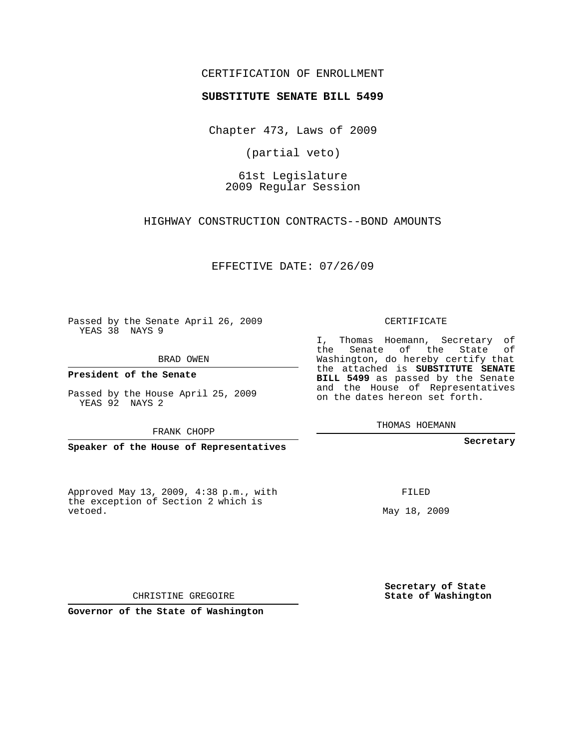## CERTIFICATION OF ENROLLMENT

## **SUBSTITUTE SENATE BILL 5499**

Chapter 473, Laws of 2009

(partial veto)

61st Legislature 2009 Regular Session

HIGHWAY CONSTRUCTION CONTRACTS--BOND AMOUNTS

EFFECTIVE DATE: 07/26/09

Passed by the Senate April 26, 2009 YEAS 38 NAYS 9

BRAD OWEN

**President of the Senate**

Passed by the House April 25, 2009

FRANK CHOPP

**Speaker of the House of Representatives**

Approved May 13, 2009, 4:38 p.m., with the exception of Section 2 which is vetoed.

CERTIFICATE

I, Thomas Hoemann, Secretary of the Senate of the State of Washington, do hereby certify that the attached is **SUBSTITUTE SENATE BILL 5499** as passed by the Senate and the House of Representatives on the dates hereon set forth.

THOMAS HOEMANN

**Secretary**

FILED

May 18, 2009

**Secretary of State State of Washington**

CHRISTINE GREGOIRE

**Governor of the State of Washington**

YEAS 92 NAYS 2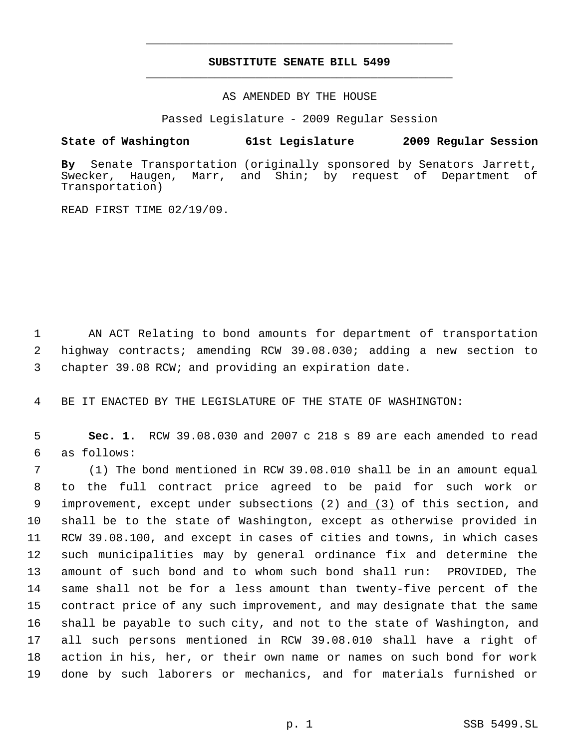## **SUBSTITUTE SENATE BILL 5499** \_\_\_\_\_\_\_\_\_\_\_\_\_\_\_\_\_\_\_\_\_\_\_\_\_\_\_\_\_\_\_\_\_\_\_\_\_\_\_\_\_\_\_\_\_

\_\_\_\_\_\_\_\_\_\_\_\_\_\_\_\_\_\_\_\_\_\_\_\_\_\_\_\_\_\_\_\_\_\_\_\_\_\_\_\_\_\_\_\_\_

AS AMENDED BY THE HOUSE

Passed Legislature - 2009 Regular Session

## **State of Washington 61st Legislature 2009 Regular Session**

By Senate Transportation (originally sponsored by Senators Jarrett,<br>Swecker, Haugen, Marr, and Shin; by request of Department of Haugen, Marr, and Shin; by request of Department of Transportation)

READ FIRST TIME 02/19/09.

 1 AN ACT Relating to bond amounts for department of transportation 2 highway contracts; amending RCW 39.08.030; adding a new section to 3 chapter 39.08 RCW; and providing an expiration date.

4 BE IT ENACTED BY THE LEGISLATURE OF THE STATE OF WASHINGTON:

 5 **Sec. 1.** RCW 39.08.030 and 2007 c 218 s 89 are each amended to read 6 as follows:

 (1) The bond mentioned in RCW 39.08.010 shall be in an amount equal to the full contract price agreed to be paid for such work or 9 improvement, except under subsections (2) and (3) of this section, and shall be to the state of Washington, except as otherwise provided in RCW 39.08.100, and except in cases of cities and towns, in which cases such municipalities may by general ordinance fix and determine the amount of such bond and to whom such bond shall run: PROVIDED, The same shall not be for a less amount than twenty-five percent of the contract price of any such improvement, and may designate that the same shall be payable to such city, and not to the state of Washington, and all such persons mentioned in RCW 39.08.010 shall have a right of action in his, her, or their own name or names on such bond for work done by such laborers or mechanics, and for materials furnished or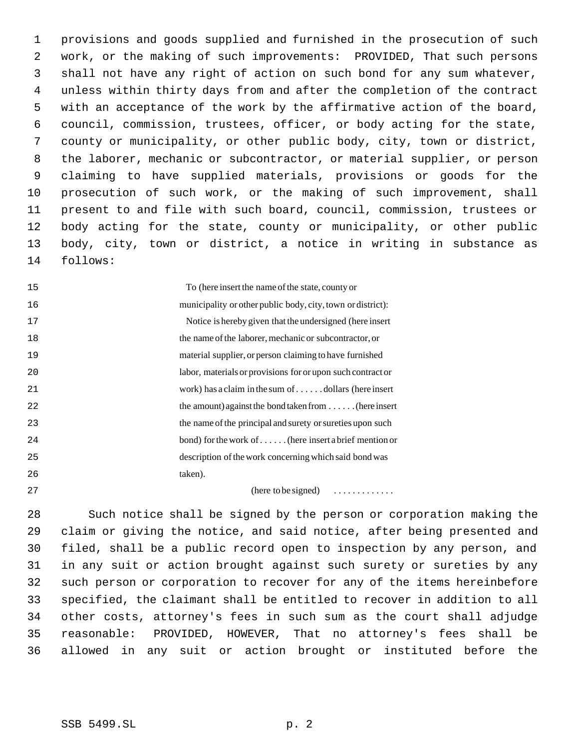provisions and goods supplied and furnished in the prosecution of such work, or the making of such improvements: PROVIDED, That such persons shall not have any right of action on such bond for any sum whatever, unless within thirty days from and after the completion of the contract with an acceptance of the work by the affirmative action of the board, council, commission, trustees, officer, or body acting for the state, county or municipality, or other public body, city, town or district, the laborer, mechanic or subcontractor, or material supplier, or person claiming to have supplied materials, provisions or goods for the prosecution of such work, or the making of such improvement, shall present to and file with such board, council, commission, trustees or body acting for the state, county or municipality, or other public body, city, town or district, a notice in writing in substance as follows:

 To (here insert the name of the state, county or municipality or other public body, city, town or district): Notice is hereby given that the undersigned (here insert the name of the laborer, mechanic or subcontractor, or material supplier, or person claiming to have furnished labor, materials or provisions for or upon such contract or work) has a claim in the sum of . . . . . . dollars (here insert the amount) against the bond taken from . . . . . . (here insert the name of the principal and surety or sureties upon such bond) for the work of . . . . . . (here insert a brief mention or description of the work concerning which said bond was taken).

(here to be signed) . . . . . . . . . . . . .

 Such notice shall be signed by the person or corporation making the claim or giving the notice, and said notice, after being presented and filed, shall be a public record open to inspection by any person, and in any suit or action brought against such surety or sureties by any such person or corporation to recover for any of the items hereinbefore specified, the claimant shall be entitled to recover in addition to all other costs, attorney's fees in such sum as the court shall adjudge reasonable: PROVIDED, HOWEVER, That no attorney's fees shall be allowed in any suit or action brought or instituted before the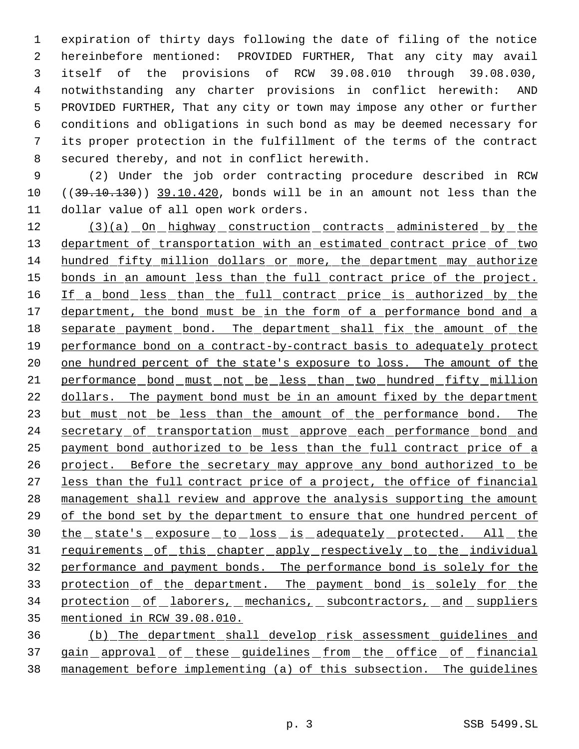expiration of thirty days following the date of filing of the notice hereinbefore mentioned: PROVIDED FURTHER, That any city may avail itself of the provisions of RCW 39.08.010 through 39.08.030, notwithstanding any charter provisions in conflict herewith: AND PROVIDED FURTHER, That any city or town may impose any other or further conditions and obligations in such bond as may be deemed necessary for its proper protection in the fulfillment of the terms of the contract secured thereby, and not in conflict herewith.

 9 (2) Under the job order contracting procedure described in RCW 10 ((39.10.130)) 39.10.420, bonds will be in an amount not less than the 11 dollar value of all open work orders.

12 (3)(a) On highway construction contracts administered by the 13 department of transportation with an estimated contract price of two 14 hundred fifty million dollars or more, the department may authorize 15 bonds in an amount less than the full contract price of the project. 16 If a bond less than the full contract price is authorized by the 17 department, the bond must be in the form of a performance bond and a 18 separate payment bond. The department shall fix the amount of the 19 performance bond on a contract-by-contract basis to adequately protect 20 one hundred percent of the state's exposure to loss. The amount of the 21 performance bond must not be less than two hundred fifty million 22 dollars. The payment bond must be in an amount fixed by the department 23 but must not be less than the amount of the performance bond. The 24 secretary of transportation must approve each performance bond and 25 payment bond authorized to be less than the full contract price of a 26 project. Before the secretary may approve any bond authorized to be 27 less than the full contract price of a project, the office of financial 28 management shall review and approve the analysis supporting the amount 29 of the bond set by the department to ensure that one hundred percent of 30 the state's exposure to loss is adequately protected. All the 31 requirements of this chapter apply respectively to the individual 32 performance and payment bonds. The performance bond is solely for the 33 protection of the department. The payment bond is solely for the 34 protection of laborers, mechanics, subcontractors, and suppliers 35 mentioned in RCW 39.08.010.

36 (b) The department shall develop risk assessment guidelines and 37 gain approval of these guidelines from the office of financial 38 management before implementing (a) of this subsection. The guidelines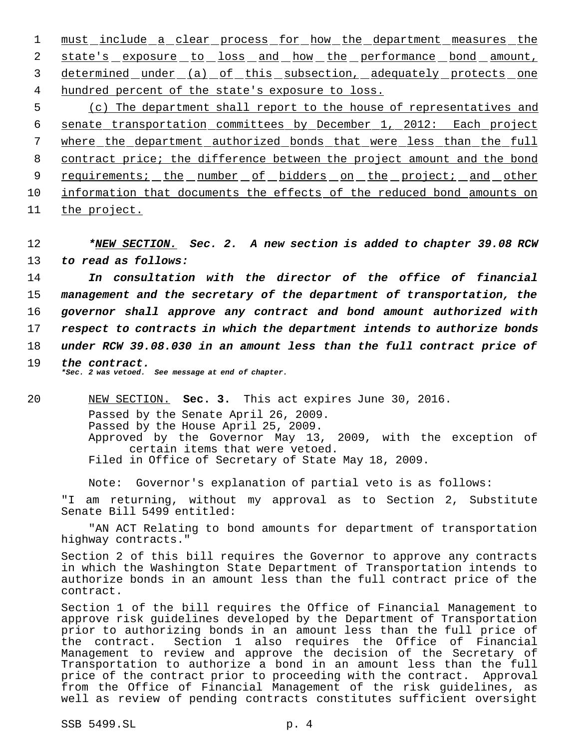1 must include a clear process for how the department measures the 2 state's exposure to loss and how the performance bond amount, 3 determined under (a) of this subsection, adequately protects one 4 hundred percent of the state's exposure to loss.

 (c) The department shall report to the house of representatives and senate transportation committees by December 1, 2012: Each project where the department authorized bonds that were less than the full contract price; the difference between the project amount and the bond 9 requirements; the number of bidders on the project; and other information that documents the effects of the reduced bond amounts on the project.

12 *\*NEW SECTION. Sec. 2. A new section is added to chapter 39.08 RCW* 13 *to read as follows:*

 *In consultation with the director of the office of financial management and the secretary of the department of transportation, the governor shall approve any contract and bond amount authorized with respect to contracts in which the department intends to authorize bonds under RCW 39.08.030 in an amount less than the full contract price of the contract.*

*\*Sec. 2 was vetoed. See message at end of chapter.*

20 NEW SECTION. **Sec. 3.** This act expires June 30, 2016. Passed by the Senate April 26, 2009. Passed by the House April 25, 2009. Approved by the Governor May 13, 2009, with the exception of certain items that were vetoed. Filed in Office of Secretary of State May 18, 2009.

Note: Governor's explanation of partial veto is as follows:

"I am returning, without my approval as to Section 2, Substitute Senate Bill 5499 entitled:

"AN ACT Relating to bond amounts for department of transportation highway contracts."

Section 2 of this bill requires the Governor to approve any contracts in which the Washington State Department of Transportation intends to authorize bonds in an amount less than the full contract price of the contract.

Section 1 of the bill requires the Office of Financial Management to approve risk guidelines developed by the Department of Transportation prior to authorizing bonds in an amount less than the full price of the contract. Section 1 also requires the Office of Financial Management to review and approve the decision of the Secretary of Transportation to authorize a bond in an amount less than the full price of the contract prior to proceeding with the contract. Approval from the Office of Financial Management of the risk guidelines, as well as review of pending contracts constitutes sufficient oversight